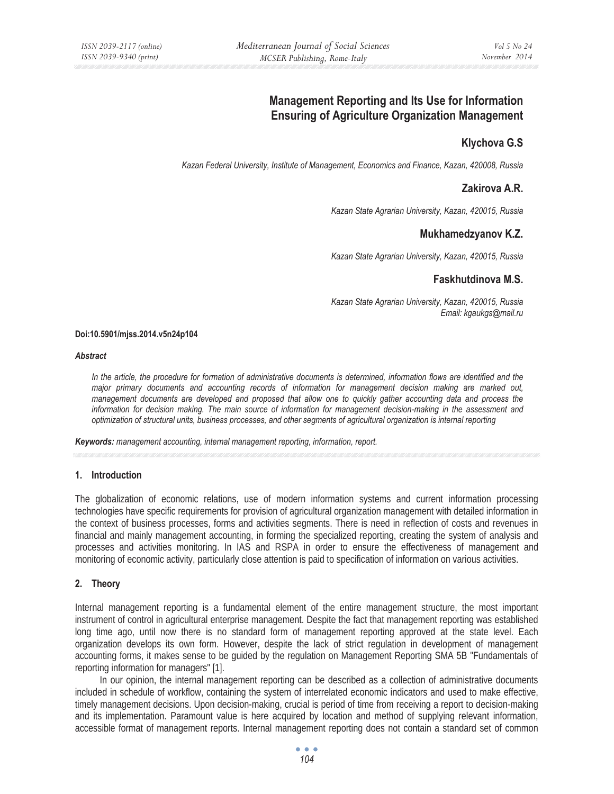# **Management Reporting and Its Use for Information Ensuring of Agriculture Organization Management**

## **Klychova G.S**

*Kazan Federal University, Institute of Management, Economics and Finance, Kazan, 420008, Russia* 

### **Zakirova A.R.**

*Kazan State Agrarian University, Kazan, 420015, Russia* 

### **Mukhamedzyanov K.Z.**

*Kazan State Agrarian University, Kazan, 420015, Russia* 

## **Faskhutdinova ɇ.S.**

*Kazan State Agrarian University, Kazan, 420015, Russia Email: kgaukgs@mail.ru* 

#### **Doi:10.5901/mjss.2014.v5n24p104**

#### *Abstract*

*In the article, the procedure for formation of administrative documents is determined, information flows are identified and the major primary documents and accounting records of information for management decision making are marked out, management documents are developed and proposed that allow one to quickly gather accounting data and process the information for decision making. The main source of information for management decision-making in the assessment and optimization of structural units, business processes, and other segments of agricultural organization is internal reporting* 

*Keywords: management accounting, internal management reporting, information, report.* 

### **1. Introduction**

The globalization of economic relations, use of modern information systems and current information processing technologies have specific requirements for provision of agricultural organization management with detailed information in the context of business processes, forms and activities segments. There is need in reflection of costs and revenues in financial and mainly management accounting, in forming the specialized reporting, creating the system of analysis and processes and activities monitoring. In IAS and RSPA in order to ensure the effectiveness of management and monitoring of economic activity, particularly close attention is paid to specification of information on various activities.

### **2. Theory**

Internal management reporting is a fundamental element of the entire management structure, the most important instrument of control in agricultural enterprise management. Despite the fact that management reporting was established long time ago, until now there is no standard form of management reporting approved at the state level. Each organization develops its own form. However, despite the lack of strict regulation in development of management accounting forms, it makes sense to be guided by the regulation on Management Reporting SMA 5B "Fundamentals of reporting information for managers" [1].

In our opinion, the internal management reporting can be described as a collection of administrative documents included in schedule of workflow, containing the system of interrelated economic indicators and used to make effective, timely management decisions. Upon decision-making, crucial is period of time from receiving a report to decision-making and its implementation. Paramount value is here acquired by location and method of supplying relevant information, accessible format of management reports. Internal management reporting does not contain a standard set of common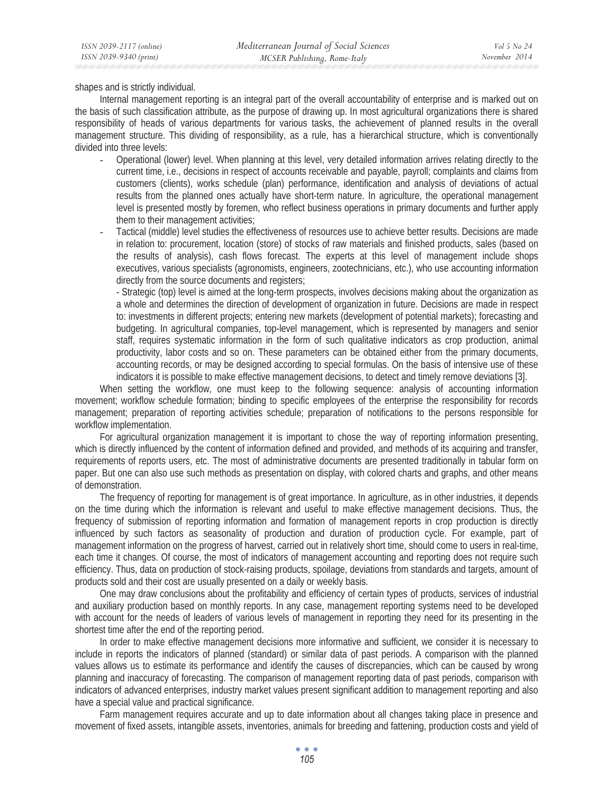shapes and is strictly individual.

Internal management reporting is an integral part of the overall accountability of enterprise and is marked out on the basis of such classification attribute, as the purpose of drawing up. In most agricultural organizations there is shared responsibility of heads of various departments for various tasks, the achievement of planned results in the overall management structure. This dividing of responsibility, as a rule, has a hierarchical structure, which is conventionally divided into three levels:

- Operational (lower) level. When planning at this level, very detailed information arrives relating directly to the current time, i.e., decisions in respect of accounts receivable and payable, payroll; complaints and claims from customers (clients), works schedule (plan) performance, identification and analysis of deviations of actual results from the planned ones actually have short-term nature. In agriculture, the operational management level is presented mostly by foremen, who reflect business operations in primary documents and further apply them to their management activities;
- Tactical (middle) level studies the effectiveness of resources use to achieve better results. Decisions are made in relation to: procurement, location (store) of stocks of raw materials and finished products, sales (based on the results of analysis), cash flows forecast. The experts at this level of management include shops executives, various specialists (agronomists, engineers, zootechnicians, etc.), who use accounting information directly from the source documents and registers;

- Strategic (top) level is aimed at the long-term prospects, involves decisions making about the organization as a whole and determines the direction of development of organization in future. Decisions are made in respect to: investments in different projects; entering new markets (development of potential markets); forecasting and budgeting. In agricultural companies, top-level management, which is represented by managers and senior staff, requires systematic information in the form of such qualitative indicators as crop production, animal productivity, labor costs and so on. These parameters can be obtained either from the primary documents, accounting records, or may be designed according to special formulas. On the basis of intensive use of these indicators it is possible to make effective management decisions, to detect and timely remove deviations [3].

When setting the workflow, one must keep to the following sequence: analysis of accounting information movement; workflow schedule formation; binding to specific employees of the enterprise the responsibility for records management; preparation of reporting activities schedule; preparation of notifications to the persons responsible for workflow implementation.

For agricultural organization management it is important to chose the way of reporting information presenting, which is directly influenced by the content of information defined and provided, and methods of its acquiring and transfer, requirements of reports users, etc. The most of administrative documents are presented traditionally in tabular form on paper. But one can also use such methods as presentation on display, with colored charts and graphs, and other means of demonstration.

The frequency of reporting for management is of great importance. In agriculture, as in other industries, it depends on the time during which the information is relevant and useful to make effective management decisions. Thus, the frequency of submission of reporting information and formation of management reports in crop production is directly influenced by such factors as seasonality of production and duration of production cycle. For example, part of management information on the progress of harvest, carried out in relatively short time, should come to users in real-time, each time it changes. Of course, the most of indicators of management accounting and reporting does not require such efficiency. Thus, data on production of stock-raising products, spoilage, deviations from standards and targets, amount of products sold and their cost are usually presented on a daily or weekly basis.

One may draw conclusions about the profitability and efficiency of certain types of products, services of industrial and auxiliary production based on monthly reports. In any case, management reporting systems need to be developed with account for the needs of leaders of various levels of management in reporting they need for its presenting in the shortest time after the end of the reporting period.

In order to make effective management decisions more informative and sufficient, we consider it is necessary to include in reports the indicators of planned (standard) or similar data of past periods. A comparison with the planned values allows us to estimate its performance and identify the causes of discrepancies, which can be caused by wrong planning and inaccuracy of forecasting. The comparison of management reporting data of past periods, comparison with indicators of advanced enterprises, industry market values present significant addition to management reporting and also have a special value and practical significance.

Farm management requires accurate and up to date information about all changes taking place in presence and movement of fixed assets, intangible assets, inventories, animals for breeding and fattening, production costs and yield of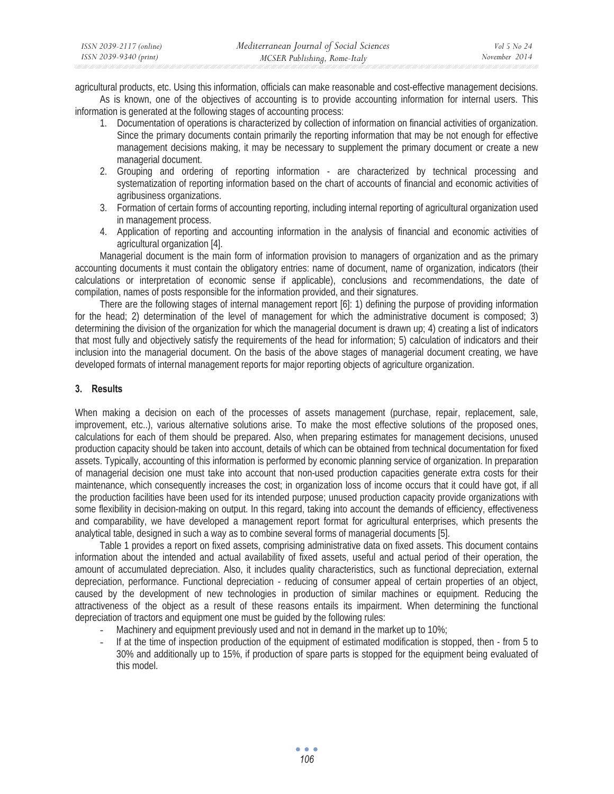| ISSN 2039-2117 (online) | Mediterranean Journal of Social Sciences | Vol 5 No 24   |
|-------------------------|------------------------------------------|---------------|
| ISSN 2039-9340 (print)  | MCSER Publishing, Rome-Italy             | November 2014 |

agricultural products, etc. Using this information, officials can make reasonable and cost-effective management decisions. As is known, one of the objectives of accounting is to provide accounting information for internal users. This information is generated at the following stages of accounting process:

- 1. Documentation of operations is characterized by collection of information on financial activities of organization. Since the primary documents contain primarily the reporting information that may be not enough for effective management decisions making, it may be necessary to supplement the primary document or create a new managerial document.
- 2. Grouping and ordering of reporting information are characterized by technical processing and systematization of reporting information based on the chart of accounts of financial and economic activities of agribusiness organizations.
- 3. Formation of certain forms of accounting reporting, including internal reporting of agricultural organization used in management process.
- 4. Application of reporting and accounting information in the analysis of financial and economic activities of agricultural organization [4].

Managerial document is the main form of information provision to managers of organization and as the primary accounting documents it must contain the obligatory entries: name of document, name of organization, indicators (their calculations or interpretation of economic sense if applicable), conclusions and recommendations, the date of compilation, names of posts responsible for the information provided, and their signatures.

There are the following stages of internal management report [6]: 1) defining the purpose of providing information for the head; 2) determination of the level of management for which the administrative document is composed; 3) determining the division of the organization for which the managerial document is drawn up; 4) creating a list of indicators that most fully and objectively satisfy the requirements of the head for information; 5) calculation of indicators and their inclusion into the managerial document. On the basis of the above stages of managerial document creating, we have developed formats of internal management reports for major reporting objects of agriculture organization.

### **3. Results**

When making a decision on each of the processes of assets management (purchase, repair, replacement, sale, improvement, etc..), various alternative solutions arise. To make the most effective solutions of the proposed ones, calculations for each of them should be prepared. Also, when preparing estimates for management decisions, unused production capacity should be taken into account, details of which can be obtained from technical documentation for fixed assets. Typically, accounting of this information is performed by economic planning service of organization. In preparation of managerial decision one must take into account that non-used production capacities generate extra costs for their maintenance, which consequently increases the cost; in organization loss of income occurs that it could have got, if all the production facilities have been used for its intended purpose; unused production capacity provide organizations with some flexibility in decision-making on output. In this regard, taking into account the demands of efficiency, effectiveness and comparability, we have developed a management report format for agricultural enterprises, which presents the analytical table, designed in such a way as to combine several forms of managerial documents [5].

Table 1 provides a report on fixed assets, comprising administrative data on fixed assets. This document contains information about the intended and actual availability of fixed assets, useful and actual period of their operation, the amount of accumulated depreciation. Also, it includes quality characteristics, such as functional depreciation, external depreciation, performance. Functional depreciation - reducing of consumer appeal of certain properties of an object, caused by the development of new technologies in production of similar machines or equipment. Reducing the attractiveness of the object as a result of these reasons entails its impairment. When determining the functional depreciation of tractors and equipment one must be guided by the following rules:

- Machinery and equipment previously used and not in demand in the market up to 10%;
- If at the time of inspection production of the equipment of estimated modification is stopped, then from 5 to 30% and additionally up to 15%, if production of spare parts is stopped for the equipment being evaluated of this model.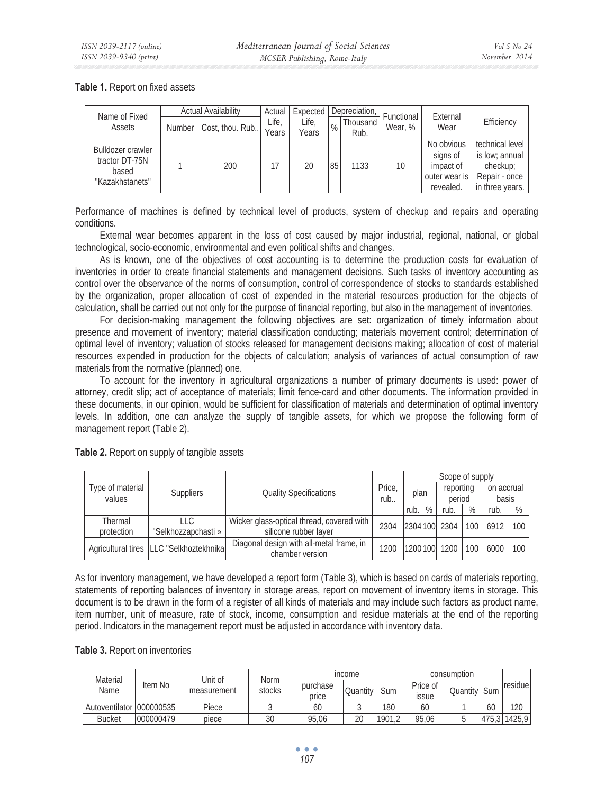#### **Table 1.** Report on fixed assets

| Name of Fixed                                                   |               | <b>Actual Availability</b> | Actual         | Expected       |      | Depreciation,    | Functional | External                                                          | Efficiency                                                                        |  |
|-----------------------------------------------------------------|---------------|----------------------------|----------------|----------------|------|------------------|------------|-------------------------------------------------------------------|-----------------------------------------------------------------------------------|--|
| Assets                                                          | <b>Number</b> | Cost, thou. Rub            | Life.<br>Years | Life,<br>Years | $\%$ | Thousand<br>Rub. | Wear, %    | Wear                                                              |                                                                                   |  |
| Bulldozer crawler<br>tractor DT-75N<br>based<br>"Kazakhstanets" |               | 200                        |                | 20             | 85   | 1133             | 10         | No obvious<br>signs of<br>impact of<br>outer wear is<br>revealed. | technical level<br>is low; annual<br>checkup;<br>Repair - once<br>in three years. |  |

Performance of machines is defined by technical level of products, system of checkup and repairs and operating conditions.

External wear becomes apparent in the loss of cost caused by major industrial, regional, national, or global technological, socio-economic, environmental and even political shifts and changes.

As is known, one of the objectives of cost accounting is to determine the production costs for evaluation of inventories in order to create financial statements and management decisions. Such tasks of inventory accounting as control over the observance of the norms of consumption, control of correspondence of stocks to standards established by the organization, proper allocation of cost of expended in the material resources production for the objects of calculation, shall be carried out not only for the purpose of financial reporting, but also in the management of inventories.

For decision-making management the following objectives are set: organization of timely information about presence and movement of inventory; material classification conducting; materials movement control; determination of optimal level of inventory; valuation of stocks released for management decisions making; allocation of cost of material resources expended in production for the objects of calculation; analysis of variances of actual consumption of raw materials from the normative (planned) one.

To account for the inventory in agricultural organizations a number of primary documents is used: power of attorney, credit slip; act of acceptance of materials; limit fence-card and other documents. The information provided in these documents, in our opinion, would be sufficient for classification of materials and determination of optimal inventory levels. In addition, one can analyze the supply of tangible assets, for which we propose the following form of management report (Table 2).

|                  |                                         |                                                             |        | Scope of supply |      |               |      |            |     |
|------------------|-----------------------------------------|-------------------------------------------------------------|--------|-----------------|------|---------------|------|------------|-----|
| Type of material | <b>Suppliers</b>                        | <b>Quality Specifications</b>                               | Price, | plan            |      | reporting     |      | on accrual |     |
| values           |                                         |                                                             | rub    |                 |      | period        |      | basis      |     |
|                  |                                         |                                                             |        | rub.            | $\%$ | rub.          | $\%$ | rub.       | 0/  |
| Thermal          | LLC.                                    | Wicker glass-optical thread, covered with                   | 2304   |                 |      | 2304 100 2304 |      | 100 6912   | 100 |
| protection       | "Selkhozzapchasti »                     | silicone rubber layer                                       |        |                 |      |               |      |            |     |
|                  | Agricultural tires LLC "Selkhoztekhnika | Diagonal design with all-metal frame, in<br>chamber version | 1200   |                 |      | 1200 100 1200 |      | 100 6000   | 100 |

**Table 2.** Report on supply of tangible assets

As for inventory management, we have developed a report form (Table 3), which is based on cards of materials reporting, statements of reporting balances of inventory in storage areas, report on movement of inventory items in storage. This document is to be drawn in the form of a register of all kinds of materials and may include such factors as product name, item number, unit of measure, rate of stock, income, consumption and residue materials at the end of the reporting period. Indicators in the management report must be adjusted in accordance with inventory data.

**Table 3.** Report on inventories

| Material                 |           | Unit of     | Norm                        |       | income         | consumption |                   |          |       |                |
|--------------------------|-----------|-------------|-----------------------------|-------|----------------|-------------|-------------------|----------|-------|----------------|
| Name                     | Item No   | measurement | purchase<br>stocks<br>price |       | <b>Quantit</b> | Sum         | Price of<br>issue | Quantity | Sum   | <b>residue</b> |
| Autoventilator 000000535 |           | Piece       |                             | 60    |                | 180         | 60                |          | 60    | 120            |
| <b>Bucket</b>            | 000000479 | piece       | 30                          | 95.06 | 20             | 1901        | 95.06             |          | 475,3 | 1425.9         |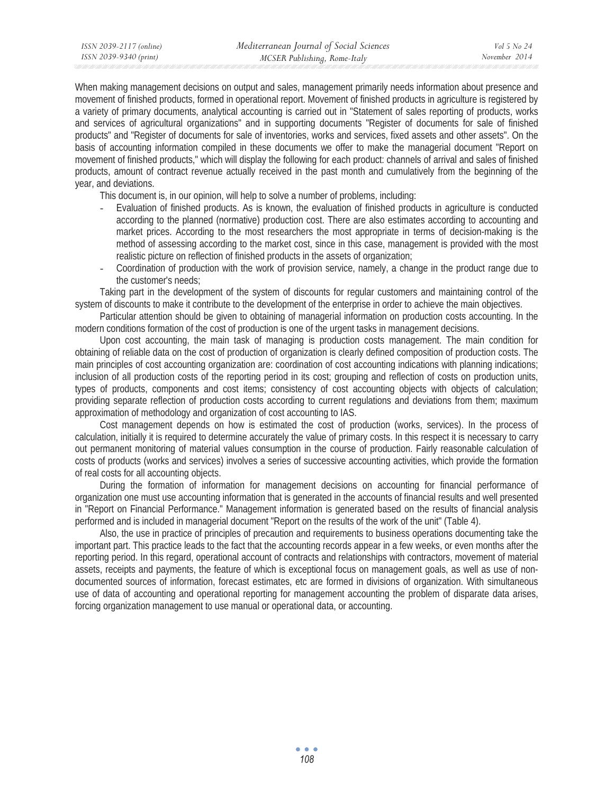When making management decisions on output and sales, management primarily needs information about presence and movement of finished products, formed in operational report. Movement of finished products in agriculture is registered by a variety of primary documents, analytical accounting is carried out in "Statement of sales reporting of products, works and services of agricultural organizations" and in supporting documents "Register of documents for sale of finished products" and "Register of documents for sale of inventories, works and services, fixed assets and other assets". On the basis of accounting information compiled in these documents we offer to make the managerial document "Report on movement of finished products," which will display the following for each product: channels of arrival and sales of finished products, amount of contract revenue actually received in the past month and cumulatively from the beginning of the year, and deviations.

This document is, in our opinion, will help to solve a number of problems, including:

- Evaluation of finished products. As is known, the evaluation of finished products in agriculture is conducted according to the planned (normative) production cost. There are also estimates according to accounting and market prices. According to the most researchers the most appropriate in terms of decision-making is the method of assessing according to the market cost, since in this case, management is provided with the most realistic picture on reflection of finished products in the assets of organization;
- Coordination of production with the work of provision service, namely, a change in the product range due to the customer's needs;

Taking part in the development of the system of discounts for regular customers and maintaining control of the system of discounts to make it contribute to the development of the enterprise in order to achieve the main objectives.

Particular attention should be given to obtaining of managerial information on production costs accounting. In the modern conditions formation of the cost of production is one of the urgent tasks in management decisions.

Upon cost accounting, the main task of managing is production costs management. The main condition for obtaining of reliable data on the cost of production of organization is clearly defined composition of production costs. The main principles of cost accounting organization are: coordination of cost accounting indications with planning indications; inclusion of all production costs of the reporting period in its cost; grouping and reflection of costs on production units, types of products, components and cost items; consistency of cost accounting objects with objects of calculation; providing separate reflection of production costs according to current regulations and deviations from them; maximum approximation of methodology and organization of cost accounting to IAS.

Cost management depends on how is estimated the cost of production (works, services). In the process of calculation, initially it is required to determine accurately the value of primary costs. In this respect it is necessary to carry out permanent monitoring of material values consumption in the course of production. Fairly reasonable calculation of costs of products (works and services) involves a series of successive accounting activities, which provide the formation of real costs for all accounting objects.

During the formation of information for management decisions on accounting for financial performance of organization one must use accounting information that is generated in the accounts of financial results and well presented in "Report on Financial Performance." Management information is generated based on the results of financial analysis performed and is included in managerial document "Report on the results of the work of the unit" (Table 4).

Also, the use in practice of principles of precaution and requirements to business operations documenting take the important part. This practice leads to the fact that the accounting records appear in a few weeks, or even months after the reporting period. In this regard, operational account of contracts and relationships with contractors, movement of material assets, receipts and payments, the feature of which is exceptional focus on management goals, as well as use of nondocumented sources of information, forecast estimates, etc are formed in divisions of organization. With simultaneous use of data of accounting and operational reporting for management accounting the problem of disparate data arises, forcing organization management to use manual or operational data, or accounting.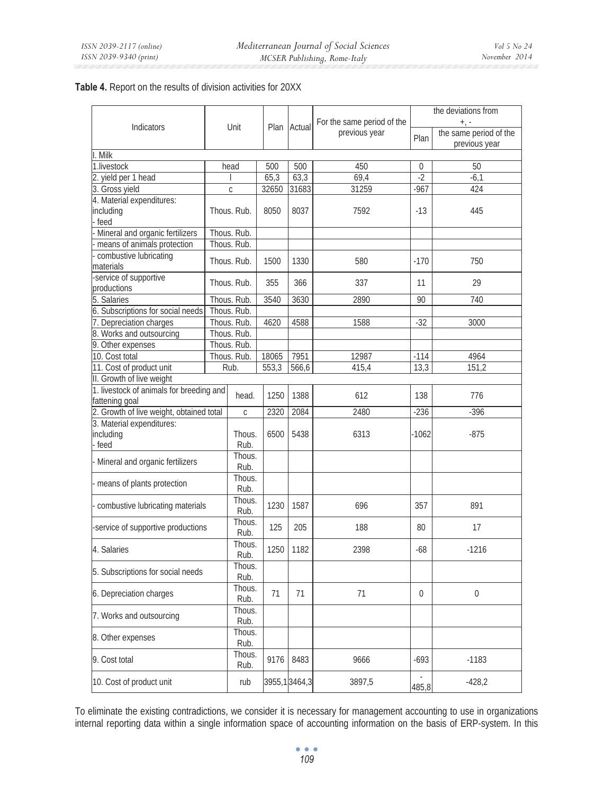#### **Table 4.** Report on the results of division activities for 20XX

|                                                            | Unit        |                |              | Actual    | For the same period of the | the deviations from<br>$+$ , - |                        |  |  |
|------------------------------------------------------------|-------------|----------------|--------------|-----------|----------------------------|--------------------------------|------------------------|--|--|
| Indicators                                                 |             |                | Plan         |           | previous year              | Plan                           | the same period of the |  |  |
|                                                            |             |                |              |           |                            |                                | previous year          |  |  |
| <b>Milk</b>                                                |             |                |              |           |                            |                                |                        |  |  |
| 1.livestock                                                |             | head           | 500<br>65,3  | 500       | 450                        | 0                              | 50                     |  |  |
| 2. yield per 1 head                                        |             |                |              | 63,3      | 69,4                       | $-2$                           | $-6,1$                 |  |  |
| 3. Gross yield                                             |             | 32650<br>C     |              | 31683     | 31259                      | $-967$                         | 424                    |  |  |
| 4. Material expenditures:                                  |             |                |              |           |                            |                                |                        |  |  |
| including<br>feed                                          |             | Thous. Rub.    | 8050         | 8037      | 7592                       | $-13$                          | 445                    |  |  |
| Mineral and organic fertilizers                            |             | Thous. Rub.    |              |           |                            |                                |                        |  |  |
| means of animals protection                                |             | Thous. Rub.    |              |           |                            |                                |                        |  |  |
| combustive lubricating                                     |             |                |              |           |                            |                                |                        |  |  |
| materials                                                  |             | Thous. Rub.    | 1500         | 1330      | 580                        | $-170$                         | 750                    |  |  |
| service of supportive                                      |             | Thous. Rub.    | 355          | 366       |                            | 11                             | 29                     |  |  |
| productions                                                |             |                |              |           | 337                        |                                |                        |  |  |
| 5. Salaries                                                |             | Thous. Rub.    | 3540         | 3630      | 2890                       | 90                             | 740                    |  |  |
| 6. Subscriptions for social needs                          |             | Thous. Rub.    |              |           |                            |                                |                        |  |  |
| 7. Depreciation charges                                    |             | Thous. Rub.    | 4620         | 4588      | 1588                       | $-32$                          | 3000                   |  |  |
| 8. Works and outsourcing                                   |             | Thous. Rub.    |              |           |                            |                                |                        |  |  |
| 9. Other expenses                                          |             | Thous. Rub.    |              |           |                            |                                |                        |  |  |
| 10. Cost total                                             |             | Thous. Rub.    | 18065        | 7951      | 12987                      | $-114$                         | 4964                   |  |  |
| 11. Cost of product unit                                   |             | Rub.           | 553,3        | 566,6     | 415,4                      | 13,3                           | 151,2                  |  |  |
| II. Growth of live weight                                  |             |                |              |           |                            |                                |                        |  |  |
| 1. livestock of animals for breeding and<br>fattening goal |             | head.          | 1250         | 1388      | 612                        | 138                            | 776                    |  |  |
| 2. Growth of live weight, obtained total                   |             | $\mathsf{C}$   | 2320         | 2084      | 2480                       | $-236$                         | $-396$                 |  |  |
| 3. Material expenditures:                                  |             |                |              |           |                            |                                |                        |  |  |
| including                                                  |             | Thous.         | 6500         | 5438      | 6313                       | $-1062$                        | $-875$                 |  |  |
| feed                                                       |             | Rub.           |              |           |                            |                                |                        |  |  |
| Mineral and organic fertilizers                            |             | Thous.<br>Rub. |              |           |                            |                                |                        |  |  |
| means of plants protection                                 |             | Thous.         |              |           |                            |                                |                        |  |  |
|                                                            |             | Rub.<br>Thous. |              |           |                            |                                |                        |  |  |
| combustive lubricating materials                           |             | Rub.           | 1230         | 1587      | 696                        | 357                            | 891                    |  |  |
| -service of supportive productions                         |             | Thous.<br>Rub. | 125          | 205       | 188                        | 80                             | 17                     |  |  |
| 4. Salaries                                                |             | Thous.         |              | 1250 1182 | 2398                       | $-68$                          | $-1216$                |  |  |
|                                                            |             | Rub.<br>Thous. |              |           |                            |                                |                        |  |  |
| 5. Subscriptions for social needs                          |             | Rub.           |              |           |                            |                                |                        |  |  |
| 6. Depreciation charges                                    |             | Thous.<br>Rub. | 71           | 71        | 71                         | $\boldsymbol{0}$               | $\boldsymbol{0}$       |  |  |
| 7. Works and outsourcing                                   |             | Thous.<br>Rub. |              |           |                            |                                |                        |  |  |
| 8. Other expenses                                          |             | Thous.<br>Rub. |              |           |                            |                                |                        |  |  |
| 9. Cost total                                              | Thous.      | 9176           | 8483         | 9666      | $-693$                     | $-1183$                        |                        |  |  |
| 10. Cost of product unit                                   | Rub.<br>rub |                | 3955,13464,3 | 3897,5    |                            | $-428,2$                       |                        |  |  |
|                                                            |             |                |              |           | 485,8                      |                                |                        |  |  |

To eliminate the existing contradictions, we consider it is necessary for management accounting to use in organizations internal reporting data within a single information space of accounting information on the basis of ERP-system. In this